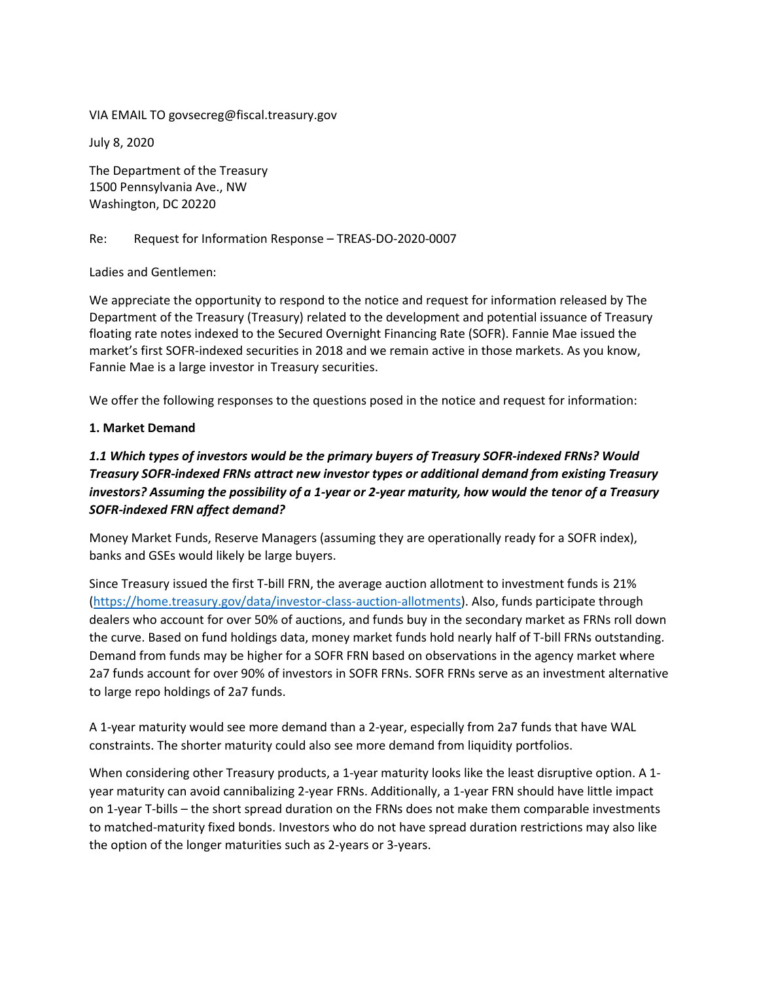VIA EMAIL TO [govsecreg@fiscal.treasury.gov](mailto:govsecreg@fiscal.treasury.gov)

July 8, 2020

The Department of the Treasury 1500 Pennsylvania Ave., NW Washington, DC 20220

#### Re: Request for Information Response – TREAS-DO-2020-0007

Ladies and Gentlemen:

We appreciate the opportunity to respond to the notice and request for information released by The Department of the Treasury (Treasury) related to the development and potential issuance of Treasury floating rate notes indexed to the Secured Overnight Financing Rate (SOFR). Fannie Mae issued the market's first SOFR-indexed securities in 2018 and we remain active in those markets. As you know, Fannie Mae is a large investor in Treasury securities.

We offer the following responses to the questions posed in the notice and request for information:

#### **1. Market Demand**

# *1.1 Which types of investors would be the primary buyers of Treasury SOFR-indexed FRNs? Would Treasury SOFR-indexed FRNs attract new investor types or additional demand from existing Treasury investors? Assuming the possibility of a 1-year or 2-year maturity, how would the tenor of a Treasury SOFR-indexed FRN affect demand?*

Money Market Funds, Reserve Managers (assuming they are operationally ready for a SOFR index), banks and GSEs would likely be large buyers.

Since Treasury issued the first T-bill FRN, the average auction allotment to investment funds is 21% [\(https://home.treasury.gov/data/investor-class-auction-allotments\)](https://home.treasury.gov/data/investor-class-auction-allotments). Also, funds participate through dealers who account for over 50% of auctions, and funds buy in the secondary market as FRNs roll down the curve. Based on fund holdings data, money market funds hold nearly half of T-bill FRNs outstanding. Demand from funds may be higher for a SOFR FRN based on observations in the agency market where 2a7 funds account for over 90% of investors in SOFR FRNs. SOFR FRNs serve as an investment alternative to large repo holdings of 2a7 funds.

A 1-year maturity would see more demand than a 2-year, especially from 2a7 funds that have WAL constraints. The shorter maturity could also see more demand from liquidity portfolios.

When considering other Treasury products, a 1-year maturity looks like the least disruptive option. A 1year maturity can avoid cannibalizing 2-year FRNs. Additionally, a 1-year FRN should have little impact on 1-year T-bills – the short spread duration on the FRNs does not make them comparable investments to matched-maturity fixed bonds. Investors who do not have spread duration restrictions may also like the option of the longer maturities such as 2-years or 3-years.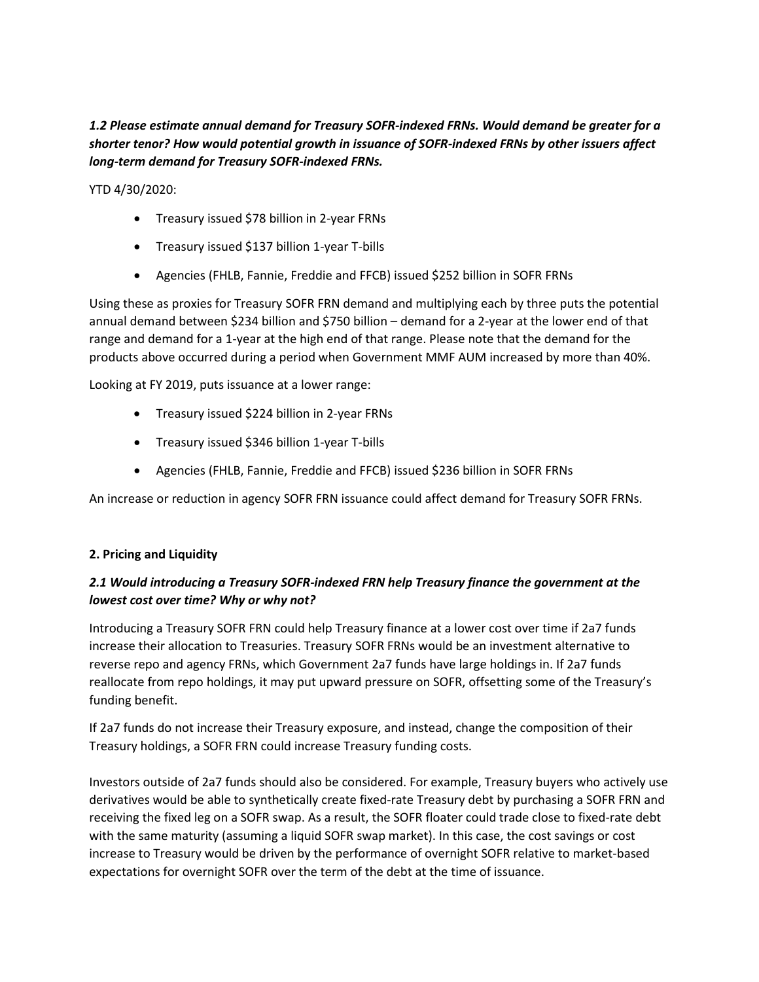# *1.2 Please estimate annual demand for Treasury SOFR-indexed FRNs. Would demand be greater for a shorter tenor? How would potential growth in issuance of SOFR-indexed FRNs by other issuers affect long-term demand for Treasury SOFR-indexed FRNs.*

YTD 4/30/2020:

- Treasury issued \$78 billion in 2-year FRNs
- Treasury issued \$137 billion 1-year T-bills
- Agencies (FHLB, Fannie, Freddie and FFCB) issued \$252 billion in SOFR FRNs

Using these as proxies for Treasury SOFR FRN demand and multiplying each by three puts the potential annual demand between \$234 billion and \$750 billion – demand for a 2-year at the lower end of that range and demand for a 1-year at the high end of that range. Please note that the demand for the products above occurred during a period when Government MMF AUM increased by more than 40%.

Looking at FY 2019, puts issuance at a lower range:

- Treasury issued \$224 billion in 2-year FRNs
- Treasury issued \$346 billion 1-year T-bills
- Agencies (FHLB, Fannie, Freddie and FFCB) issued \$236 billion in SOFR FRNs

An increase or reduction in agency SOFR FRN issuance could affect demand for Treasury SOFR FRNs.

#### **2. Pricing and Liquidity**

#### *2.1 Would introducing a Treasury SOFR-indexed FRN help Treasury finance the government at the lowest cost over time? Why or why not?*

Introducing a Treasury SOFR FRN could help Treasury finance at a lower cost over time if 2a7 funds increase their allocation to Treasuries. Treasury SOFR FRNs would be an investment alternative to reverse repo and agency FRNs, which Government 2a7 funds have large holdings in. If 2a7 funds reallocate from repo holdings, it may put upward pressure on SOFR, offsetting some of the Treasury's funding benefit.

If 2a7 funds do not increase their Treasury exposure, and instead, change the composition of their Treasury holdings, a SOFR FRN could increase Treasury funding costs.

Investors outside of 2a7 funds should also be considered. For example, Treasury buyers who actively use derivatives would be able to synthetically create fixed-rate Treasury debt by purchasing a SOFR FRN and receiving the fixed leg on a SOFR swap. As a result, the SOFR floater could trade close to fixed-rate debt with the same maturity (assuming a liquid SOFR swap market). In this case, the cost savings or cost increase to Treasury would be driven by the performance of overnight SOFR relative to market-based expectations for overnight SOFR over the term of the debt at the time of issuance.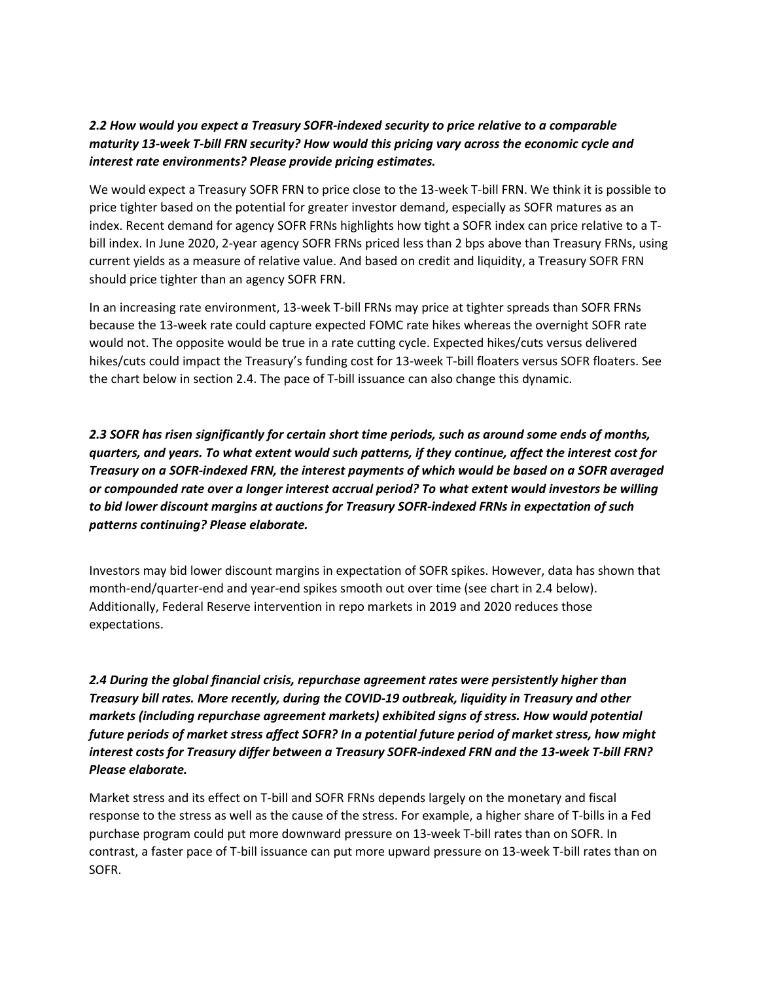#### *2.2 How would you expect a Treasury SOFR-indexed security to price relative to a comparable maturity 13-week T-bill FRN security? How would this pricing vary across the economic cycle and interest rate environments? Please provide pricing estimates.*

We would expect a Treasury SOFR FRN to price close to the 13-week T-bill FRN. We think it is possible to price tighter based on the potential for greater investor demand, especially as SOFR matures as an index. Recent demand for agency SOFR FRNs highlights how tight a SOFR index can price relative to a Tbill index. In June 2020, 2-year agency SOFR FRNs priced less than 2 bps above than Treasury FRNs, using current yields as a measure of relative value. And based on credit and liquidity, a Treasury SOFR FRN should price tighter than an agency SOFR FRN.

In an increasing rate environment, 13-week T-bill FRNs may price at tighter spreads than SOFR FRNs because the 13-week rate could capture expected FOMC rate hikes whereas the overnight SOFR rate would not. The opposite would be true in a rate cutting cycle. Expected hikes/cuts versus delivered hikes/cuts could impact the Treasury's funding cost for 13-week T-bill floaters versus SOFR floaters. See the chart below in section 2.4. The pace of T-bill issuance can also change this dynamic.

*2.3 SOFR has risen significantly for certain short time periods, such as around some ends of months, quarters, and years. To what extent would such patterns, if they continue, affect the interest cost for Treasury on a SOFR-indexed FRN, the interest payments of which would be based on a SOFR averaged or compounded rate over a longer interest accrual period? To what extent would investors be willing to bid lower discount margins at auctions for Treasury SOFR-indexed FRNs in expectation of such patterns continuing? Please elaborate.*

Investors may bid lower discount margins in expectation of SOFR spikes. However, data has shown that month-end/quarter-end and year-end spikes smooth out over time (see chart in 2.4 below). Additionally, Federal Reserve intervention in repo markets in 2019 and 2020 reduces those expectations.

*2.4 During the global financial crisis, repurchase agreement rates were persistently higher than Treasury bill rates. More recently, during the COVID-19 outbreak, liquidity in Treasury and other markets (including repurchase agreement markets) exhibited signs of stress. How would potential future periods of market stress affect SOFR? In a potential future period of market stress, how might interest costs for Treasury differ between a Treasury SOFR-indexed FRN and the 13-week T-bill FRN? Please elaborate.*

Market stress and its effect on T-bill and SOFR FRNs depends largely on the monetary and fiscal response to the stress as well as the cause of the stress. For example, a higher share of T-bills in a Fed purchase program could put more downward pressure on 13-week T-bill rates than on SOFR. In contrast, a faster pace of T-bill issuance can put more upward pressure on 13-week T-bill rates than on SOFR.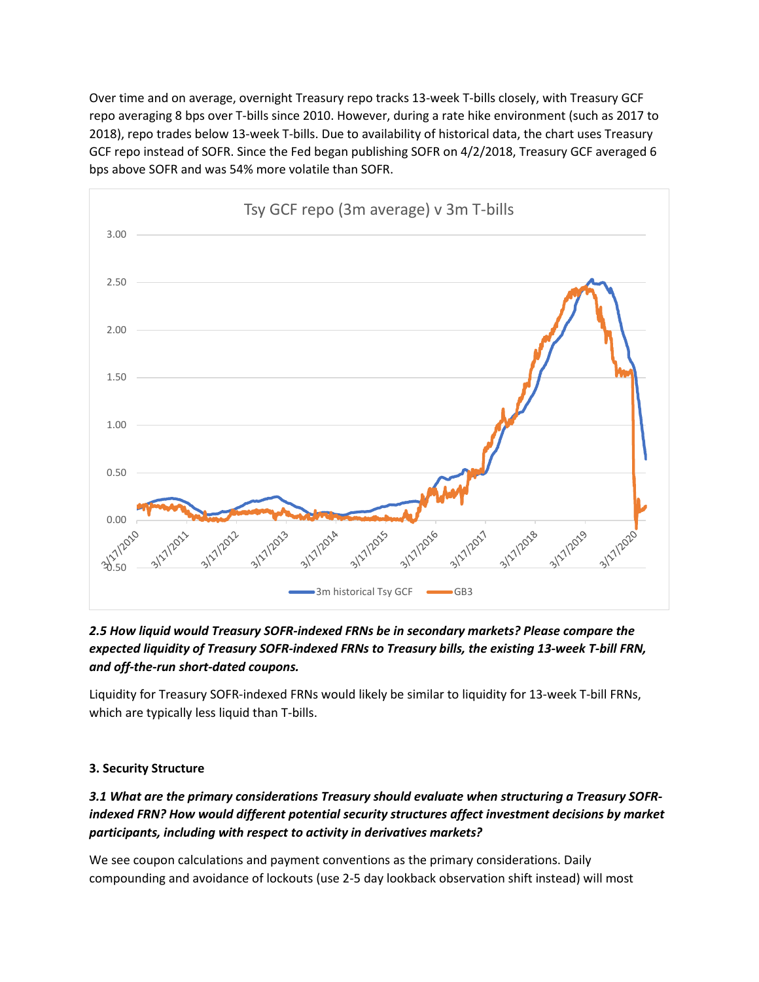Over time and on average, overnight Treasury repo tracks 13-week T-bills closely, with Treasury GCF repo averaging 8 bps over T-bills since 2010. However, during a rate hike environment (such as 2017 to 2018), repo trades below 13-week T-bills. Due to availability of historical data, the chart uses Treasury GCF repo instead of SOFR. Since the Fed began publishing SOFR on 4/2/2018, Treasury GCF averaged 6 bps above SOFR and was 54% more volatile than SOFR.



# *2.5 How liquid would Treasury SOFR-indexed FRNs be in secondary markets? Please compare the expected liquidity of Treasury SOFR-indexed FRNs to Treasury bills, the existing 13-week T-bill FRN, and off-the-run short-dated coupons.*

Liquidity for Treasury SOFR-indexed FRNs would likely be similar to liquidity for 13-week T-bill FRNs, which are typically less liquid than T-bills.

# **3. Security Structure**

*3.1 What are the primary considerations Treasury should evaluate when structuring a Treasury SOFRindexed FRN? How would different potential security structures affect investment decisions by market participants, including with respect to activity in derivatives markets?*

We see coupon calculations and payment conventions as the primary considerations. Daily compounding and avoidance of lockouts (use 2-5 day lookback observation shift instead) will most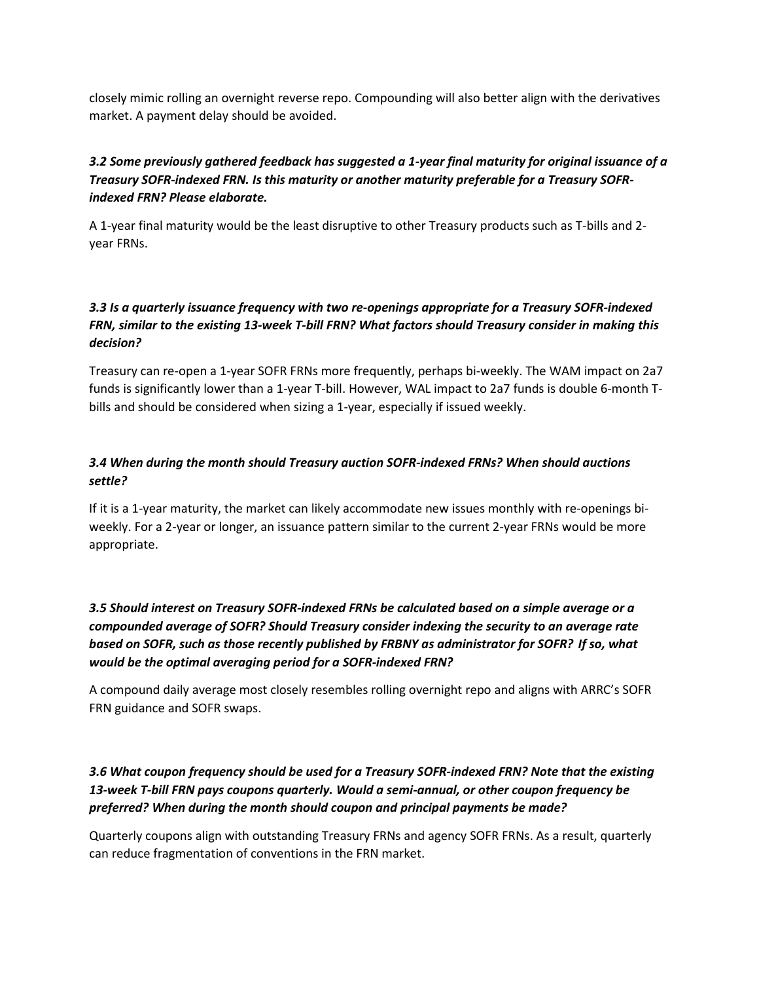closely mimic rolling an overnight reverse repo. Compounding will also better align with the derivatives market. A payment delay should be avoided.

# *3.2 Some previously gathered feedback has suggested a 1-year final maturity for original issuance of a Treasury SOFR-indexed FRN. Is this maturity or another maturity preferable for a Treasury SOFRindexed FRN? Please elaborate.*

A 1-year final maturity would be the least disruptive to other Treasury products such as T-bills and 2 year FRNs.

# *3.3 Is a quarterly issuance frequency with two re-openings appropriate for a Treasury SOFR-indexed FRN, similar to the existing 13-week T-bill FRN? What factors should Treasury consider in making this decision?*

Treasury can re-open a 1-year SOFR FRNs more frequently, perhaps bi-weekly. The WAM impact on 2a7 funds is significantly lower than a 1-year T-bill. However, WAL impact to 2a7 funds is double 6-month Tbills and should be considered when sizing a 1-year, especially if issued weekly.

# *3.4 When during the month should Treasury auction SOFR-indexed FRNs? When should auctions settle?*

If it is a 1-year maturity, the market can likely accommodate new issues monthly with re-openings biweekly. For a 2-year or longer, an issuance pattern similar to the current 2-year FRNs would be more appropriate.

*3.5 Should interest on Treasury SOFR-indexed FRNs be calculated based on a simple average or a compounded average of SOFR? Should Treasury consider indexing the security to an average rate based on SOFR, such as those recently published by FRBNY as administrator for SOFR?  If so, what would be the optimal averaging period for a SOFR-indexed FRN?*

A compound daily average most closely resembles rolling overnight repo and aligns with ARRC's SOFR FRN guidance and SOFR swaps.

#### *3.6 What coupon frequency should be used for a Treasury SOFR-indexed FRN? Note that the existing 13-week T-bill FRN pays coupons quarterly. Would a semi-annual, or other coupon frequency be preferred? When during the month should coupon and principal payments be made?*

Quarterly coupons align with outstanding Treasury FRNs and agency SOFR FRNs. As a result, quarterly can reduce fragmentation of conventions in the FRN market.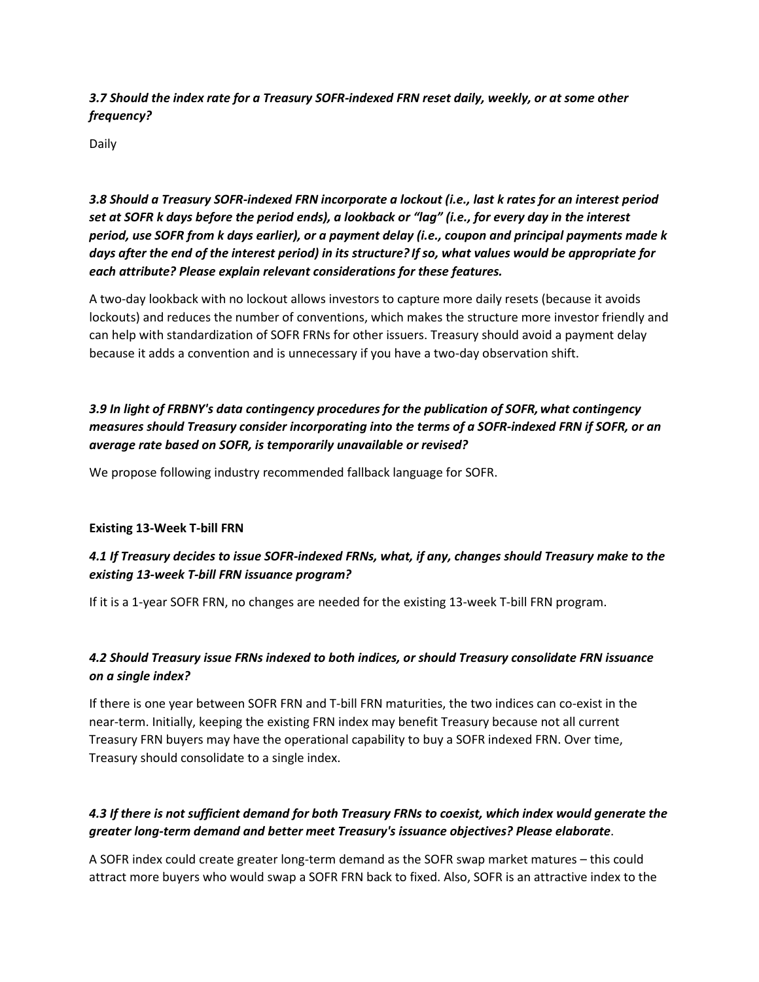*3.7 Should the index rate for a Treasury SOFR-indexed FRN reset daily, weekly, or at some other frequency?*

Daily

*3.8 Should a Treasury SOFR-indexed FRN incorporate a lockout (i.e., last k rates for an interest period set at SOFR k days before the period ends), a lookback or "lag" (i.e., for every day in the interest period, use SOFR from k days earlier), or a payment delay (i.e., coupon and principal payments made k days after the end of the interest period) in its structure? If so, what values would be appropriate for each attribute? Please explain relevant considerations for these features.*

A two-day lookback with no lockout allows investors to capture more daily resets (because it avoids lockouts) and reduces the number of conventions, which makes the structure more investor friendly and can help with standardization of SOFR FRNs for other issuers. Treasury should avoid a payment delay because it adds a convention and is unnecessary if you have a two-day observation shift.

# *3.9 In light of FRBNY's data contingency procedures for the publication of SOFR,what contingency measures should Treasury consider incorporating into the terms of a SOFR-indexed FRN if SOFR, or an average rate based on SOFR, is temporarily unavailable or revised?*

We propose following industry recommended fallback language for SOFR.

#### **Existing 13-Week T-bill FRN**

# *4.1 If Treasury decides to issue SOFR-indexed FRNs, what, if any, changes should Treasury make to the existing 13-week T-bill FRN issuance program?*

If it is a 1-year SOFR FRN, no changes are needed for the existing 13-week T-bill FRN program.

# *4.2 Should Treasury issue FRNs indexed to both indices, or should Treasury consolidate FRN issuance on a single index?*

If there is one year between SOFR FRN and T-bill FRN maturities, the two indices can co-exist in the near-term. Initially, keeping the existing FRN index may benefit Treasury because not all current Treasury FRN buyers may have the operational capability to buy a SOFR indexed FRN. Over time, Treasury should consolidate to a single index.

#### *4.3 If there is not sufficient demand for both Treasury FRNs to coexist, which index would generate the greater long-term demand and better meet Treasury's issuance objectives? Please elaborate*.

A SOFR index could create greater long-term demand as the SOFR swap market matures – this could attract more buyers who would swap a SOFR FRN back to fixed. Also, SOFR is an attractive index to the